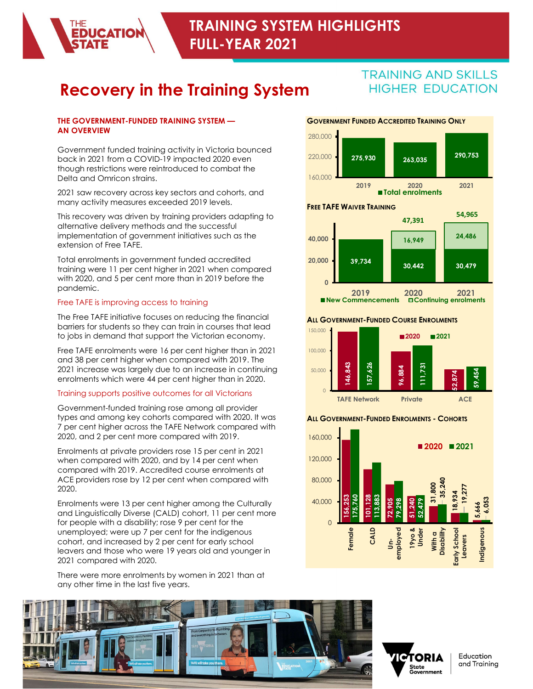

# **Recovery in the Training System HIGHER EDUCATION**

#### THE GOVERNMENT-FUNDED TRAINING SYSTEM — AN OVERVIEW

Government funded training activity in Victoria bounced<br>book in 2021 from a COVID 19 impacted 2020 over back in 2021 from a COVID-19 impacted 2020 even though restrictions were reintroduced to combat the Delta and Omricon strains.

2021 saw recovery across key sectors and cohorts, and many activity measures exceeded 2019 levels.

This recovery was driven by training providers adapting to alternative delivery methods and the successful implementation of government initiatives such as the extension of Free TAFE.

Total enrolments in government funded accredited training were 11 per cent higher in 2021 when compared with 2020, and 5 per cent more than in 2019 before the pandemic.

#### Free TAFE is improving access to training

The Free TAFE initiative focuses on reducing the financial barriers for students so they can train in courses that lead to jobs in demand that support the Victorian economy.

Free TAFE enrolments were 16 per cent higher than in 2021 and 38 per cent higher when compared with 2019. The 2021 increase was largely due to an increase in continuing<br>enrolments which were 44 per cent higher than in 2020. enrolments which were 44 per cent higher than in 2020.

## Training supports positive outcomes for all Victorians

Government-funded training rose among all provider types and among key cohorts compared with 2020. It was 7 per cent higher across the TAFE Network compared with 2020, and 2 per cent more compared with 2019.

Enrolments at private providers rose 15 per cent in 2021 when compared with 2020, and by 14 per cent when compared with 2019. Accredited course enrolments at ACE providers rose by 12 per cent when compared with 2020.

Enrolments were 13 per cent higher among the Culturally and Linguistically Diverse (CALD) cohort, 11 per cent more for people with a disability; rose 9 per cent for the unemployed; were up 7 per cent for the indigenous cohort, and increased by 2 per cent for early school unemployed; were up 7 per cent for the indigenous<br>cohort, and increased by 2 per cent for early school<br>leavers and those who were 19 years old and younger in 2021 compared with 2020.

There were more enrolments by women in 2021 than at any other time in the last five years.



**Total enrolments** 

# FREE TAFE WAIVER TRAINING 39,734 NG AND SKILLS<br>
ER EDUCATION<br>
263,035<br>
270,753<br>
270,753<br>
283,035<br>
270,753<br>
2820<br>
2020<br>
2021<br>
30,442<br>
2020<br>
2021<br>
2020<br>
2021<br>
204,486<br>
204,486<br>
204,759<br>
2021<br>
2021<br>
2021<br>
2021<br>
2021<br>
2021<br>
2021<br>
2021<br>
2021<br>
2021<br>
2021<br>
2021<br>  $16,949$   $24,486$ 0  $39,734$   $30.442$   $30.479$  $16,949$   $24,486$ TRAINING AND SKILLS<br>
HIGHER EDUCATION<br>
2019 Total enrolments<br>
2019 Total enrolments<br>
2021<br>
2019 2020<br>
2019 2020<br>
2019 2020 2021<br>
2019 2020 2021<br>
2019 2020 2021<br>
2020 2021<br>
2020 2021<br>
2020 2021<br>
2020 2021<br>
2020 2021 New Commencements Continuing enrolments 2019 Total enrolments<br>
39,734<br>
39,734<br>
2019 Commencements 2020<br>
2020 2021<br>
Commencements 2020 2021<br>
RENMENT-FUNDED COURSE ENROMENTS<br>
2020 2021<br>
2020 2021<br>
2020 2021<br>
2020 2021<br>
2020 2021<br>
2020 2021<br>
2020 2021<br>
2020 2021<br> 54,965 47,391

#### **ALL GOVERNMENT-FUNDED COURSE ENROLMENTS**



#### **ALL GOVERNMENT-FUNDED ENROLMENTS - COHORTS**







Education and Training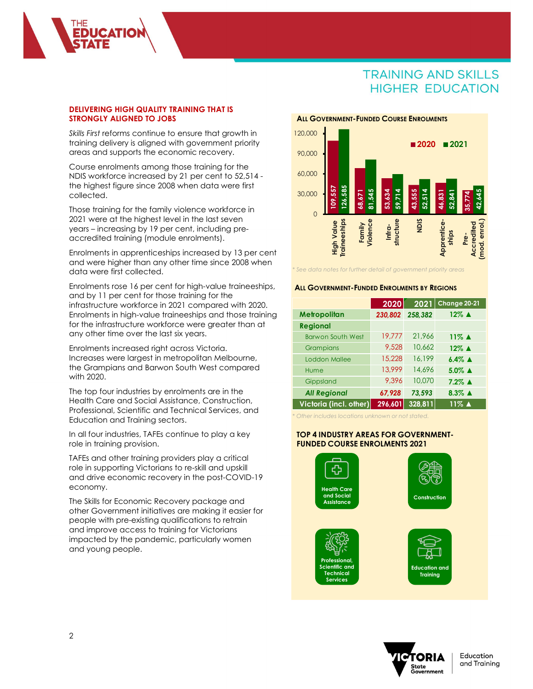#### DELIVERING HIGH QUALITY TRAINING THAT IS STRONGLY ALIGNED TO JOBS

**JCATIO** 

Skills First reforms continue to ensure that growth in training delivery is aligned with government priority areas and supports the economic recovery.

Course enrolments among those training for the NDIS workforce increased by 21 per cent to 52,514 the highest figure since 2008 when data were first<br>collected 30,000 collected.

Those training for the family violence workforce in 2021 were at the highest level in the last seven years – increasing by 19 per cent, including preaccredited training (module enrolments). 2021 were at the highest level in the last seven<br>
years – increasing by 19 per cent, including pre-<br>
accredited training (module enrolments).<br>
Enrolments in apprenticeships increased by 13 per cent

and were higher than any other time since 2008 when data were first collected.

Enrolments rose 16 per cent for high-value traineeships, and by 11 per cent for those training for the infrastructure workforce in 2021 compared with 2020. Enrolments in high-value traineeships and those training for the infrastructure workforce were greater than at any other time over the last six years.

Enrolments increased right across Victoria. Increases were largest in metropolitan Melbourne, the Grampians and Barwon South West compared with 2020.

The top four industries by enrolments are in the Health Care and Social Assistance, Construction, Professional, Scientific and Technical Services, and Education and Training sectors.

In all four industries, TAFEs continue to play a key role in training provision.

TAFEs and other training providers play a critical role in supporting Victorians to re-skill and upskill and drive economic recovery in the post-COVID-19 economy.

The Skills for Economic Recovery package and other Government initiatives are making it easier for people with pre-existing qualifications to retrain and improve access to training for Victorians impacted by the pandemic, particularly women and young people.





#### **ALL GOVERNMENT-FUNDED ENROLMENTS BY REGIONS**

| OU,UUU                                                                       |                            |                  |                                                                    |
|------------------------------------------------------------------------------|----------------------------|------------------|--------------------------------------------------------------------|
| 126,585<br>109,557<br>30,000                                                 |                            |                  |                                                                    |
| 68,671                                                                       | 81,545<br>53,634<br>59,714 | 43,555<br>52,514 | 42,645<br>46,831<br>52,841<br>35,774                               |
| $\overline{O}$                                                               |                            | <b>NDIS</b>      |                                                                    |
| <b>Traineeships</b><br>Violence<br>High Value<br>Family                      | structure<br>Infra-        |                  | (mod. enrol.)<br><b>Apprentice-</b><br>Accredited<br>ships<br>Pre- |
|                                                                              |                            |                  |                                                                    |
|                                                                              |                            |                  |                                                                    |
| <sup>*</sup> See data notes for further detail of government priority areas  |                            |                  |                                                                    |
| <b>ALL GOVERNMENT-FUNDED ENROLMENTS BY REGIONS</b>                           |                            |                  |                                                                    |
|                                                                              |                            |                  |                                                                    |
|                                                                              | 2020                       | 2021             | Change 20-21                                                       |
| Metropolitan                                                                 | 230,802                    | 258,382          | 12% ▲                                                              |
| <b>Regional</b><br><b>Barwon South West</b>                                  | 19,777                     | 21,966           | 11% ▲                                                              |
| Grampians                                                                    | 9,528                      | 10,662           | 12% ▲                                                              |
| Loddon Mallee                                                                | 15,228                     | 16,199           | $6.4\%$ $\triangle$                                                |
| Hume                                                                         | 13,999                     | 14,696           | $5.0\%$ $\triangle$                                                |
| Gippsland                                                                    | 9,396                      | 10,070           | $7.2\%$ $\triangle$                                                |
| <b>All Regional</b>                                                          | 67,928                     | 73,593           | 8.3% $\triangle$                                                   |
| Victoria (incl. other)                                                       | 296,601                    | 328.811          | $11\%$ $\triangle$                                                 |
| Other includes locations unknown or not stated.                              |                            |                  |                                                                    |
|                                                                              |                            |                  |                                                                    |
| TOP 4 INDUSTRY AREAS FOR GOVERNMENT-<br><b>FUNDED COURSE ENROLMENTS 2021</b> |                            |                  |                                                                    |
|                                                                              |                            |                  |                                                                    |

#### TOP 4 INDUSTRY AREAS FOR GOVERNMENT- FUNDED COURSE ENROLMENTS 2021